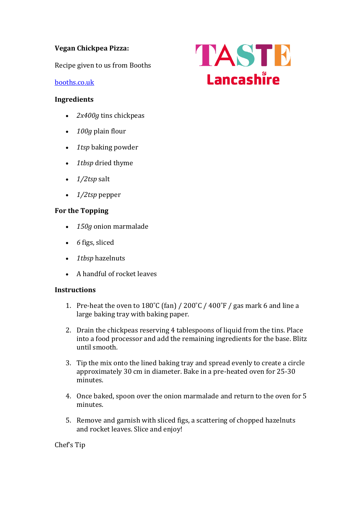# **Vegan Chickpea Pizza:**

Recipe given to us from Booths

## [booths.co.uk](https://www.booths.co.uk/)

#### **Ingredients**

- *2x400g* tins chickpeas
- *100g* plain flour
- *1tsp* baking powder
- *1tbsp* dried thyme
- *1/2tsp* salt
- *1/2tsp* pepper

# **For the Topping**

- *150g* onion marmalade
- *6* figs, sliced
- *1tbsp* hazelnuts
- A handful of rocket leaves

## **Instructions**

- 1. Pre-heat the oven to  $180^{\circ}$ C (fan) /  $200^{\circ}$ C /  $400^{\circ}$ F / gas mark 6 and line a large baking tray with baking paper.
- 2. Drain the chickpeas reserving 4 tablespoons of liquid from the tins. Place into a food processor and add the remaining ingredients for the base. Blitz until smooth.
- 3. Tip the mix onto the lined baking tray and spread evenly to create a circle approximately 30 cm in diameter. Bake in a pre-heated oven for 25-30 minutes.
- 4. Once baked, spoon over the onion marmalade and return to the oven for 5 minutes.
- 5. Remove and garnish with sliced figs, a scattering of chopped hazelnuts and rocket leaves. Slice and enjoy!

Chef's Tip